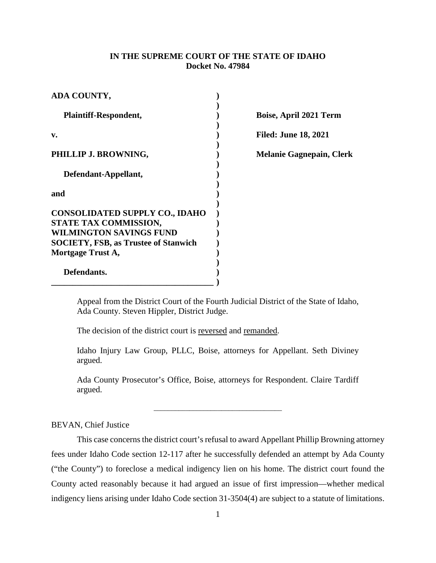# **IN THE SUPREME COURT OF THE STATE OF IDAHO Docket No. 47984**

| ADA COUNTY,                                                                                      |                                 |
|--------------------------------------------------------------------------------------------------|---------------------------------|
| <b>Plaintiff-Respondent,</b>                                                                     | Boise, April 2021 Term          |
| v.                                                                                               | <b>Filed: June 18, 2021</b>     |
| PHILLIP J. BROWNING,                                                                             | <b>Melanie Gagnepain, Clerk</b> |
| Defendant-Appellant,                                                                             |                                 |
| and                                                                                              |                                 |
| <b>CONSOLIDATED SUPPLY CO., IDAHO</b><br>STATE TAX COMMISSION,<br><b>WILMINGTON SAVINGS FUND</b> |                                 |
| <b>SOCIETY, FSB, as Trustee of Stanwich</b>                                                      |                                 |
| Mortgage Trust A,                                                                                |                                 |
| Defendants.                                                                                      |                                 |

Appeal from the District Court of the Fourth Judicial District of the State of Idaho, Ada County. Steven Hippler, District Judge.

The decision of the district court is reversed and remanded.

Idaho Injury Law Group, PLLC, Boise, attorneys for Appellant. Seth Diviney argued.

Ada County Prosecutor's Office, Boise, attorneys for Respondent. Claire Tardiff argued.

\_\_\_\_\_\_\_\_\_\_\_\_\_\_\_\_\_\_\_\_\_\_\_\_\_\_\_\_\_\_\_\_\_\_\_\_

BEVAN, Chief Justice

This case concerns the district court's refusal to award Appellant Phillip Browning attorney fees under Idaho Code section 12-117 after he successfully defended an attempt by Ada County ("the County") to foreclose a medical indigency lien on his home. The district court found the County acted reasonably because it had argued an issue of first impression—whether medical indigency liens arising under Idaho Code section 31-3504(4) are subject to a statute of limitations.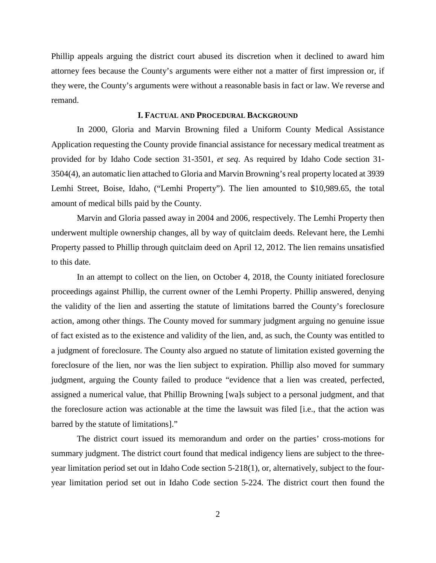Phillip appeals arguing the district court abused its discretion when it declined to award him attorney fees because the County's arguments were either not a matter of first impression or, if they were, the County's arguments were without a reasonable basis in fact or law. We reverse and remand.

## **I. FACTUAL AND PROCEDURAL BACKGROUND**

In 2000, Gloria and Marvin Browning filed a Uniform County Medical Assistance Application requesting the County provide financial assistance for necessary medical treatment as provided for by Idaho Code section 31-3501, *et seq*. As required by Idaho Code section 31- 3504(4), an automatic lien attached to Gloria and Marvin Browning's real property located at 3939 Lemhi Street, Boise, Idaho, ("Lemhi Property"). The lien amounted to \$10,989.65, the total amount of medical bills paid by the County.

Marvin and Gloria passed away in 2004 and 2006, respectively. The Lemhi Property then underwent multiple ownership changes, all by way of quitclaim deeds. Relevant here, the Lemhi Property passed to Phillip through quitclaim deed on April 12, 2012. The lien remains unsatisfied to this date.

In an attempt to collect on the lien, on October 4, 2018, the County initiated foreclosure proceedings against Phillip, the current owner of the Lemhi Property. Phillip answered, denying the validity of the lien and asserting the statute of limitations barred the County's foreclosure action, among other things. The County moved for summary judgment arguing no genuine issue of fact existed as to the existence and validity of the lien, and, as such, the County was entitled to a judgment of foreclosure. The County also argued no statute of limitation existed governing the foreclosure of the lien, nor was the lien subject to expiration. Phillip also moved for summary judgment, arguing the County failed to produce "evidence that a lien was created, perfected, assigned a numerical value, that Phillip Browning [wa]s subject to a personal judgment, and that the foreclosure action was actionable at the time the lawsuit was filed [i.e., that the action was barred by the statute of limitations]."

The district court issued its memorandum and order on the parties' cross-motions for summary judgment. The district court found that medical indigency liens are subject to the threeyear limitation period set out in Idaho Code section 5-218(1), or, alternatively, subject to the fouryear limitation period set out in Idaho Code section 5-224. The district court then found the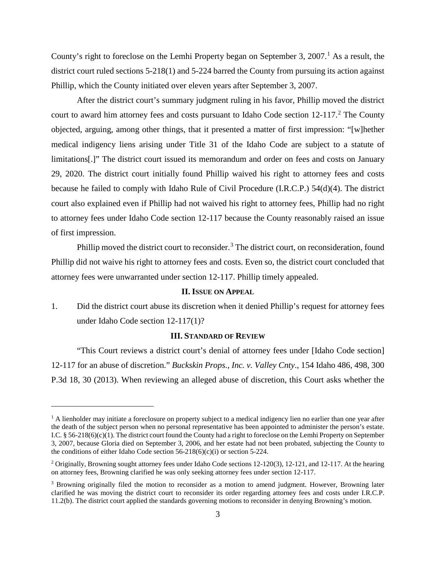County's right to foreclose on the Lemhi Property began on September 3, 2007. [1](#page-2-0) As a result, the district court ruled sections 5-218(1) and 5-224 barred the County from pursuing its action against Phillip, which the County initiated over eleven years after September 3, 2007.

After the district court's summary judgment ruling in his favor, Phillip moved the district court to award him attorney fees and costs pursuant to Idaho Code section 1[2](#page-2-1)-117.<sup>2</sup> The County objected, arguing, among other things, that it presented a matter of first impression: "[w]hether medical indigency liens arising under Title 31 of the Idaho Code are subject to a statute of limitations[.]" The district court issued its memorandum and order on fees and costs on January 29, 2020. The district court initially found Phillip waived his right to attorney fees and costs because he failed to comply with Idaho Rule of Civil Procedure (I.R.C.P.) 54(d)(4). The district court also explained even if Phillip had not waived his right to attorney fees, Phillip had no right to attorney fees under Idaho Code section 12-117 because the County reasonably raised an issue of first impression.

Phillip moved the district court to reconsider.<sup>[3](#page-2-2)</sup> The district court, on reconsideration, found Phillip did not waive his right to attorney fees and costs. Even so, the district court concluded that attorney fees were unwarranted under section 12-117. Phillip timely appealed.

### **II. ISSUE ON APPEAL**

1. Did the district court abuse its discretion when it denied Phillip's request for attorney fees under Idaho Code section 12-117(1)?

### **III. STANDARD OF REVIEW**

"This Court reviews a district court's denial of attorney fees under [Idaho Code section] 12-117 for an abuse of discretion." *Buckskin Props., Inc. v. Valley Cnty*., 154 Idaho 486, 498, 300 P.3d 18, 30 (2013). When reviewing an alleged abuse of discretion, this Court asks whether the

 $\overline{a}$ 

<span id="page-2-0"></span><sup>&</sup>lt;sup>1</sup> A lienholder may initiate a foreclosure on property subject to a medical indigency lien no earlier than one year after the death of the subject person when no personal representative has been appointed to administer the person's estate. I.C. § 56-218(6)(c)(1). The district court found the County had a right to foreclose on the Lemhi Property on September 3, 2007, because Gloria died on September 3, 2006, and her estate had not been probated, subjecting the County to the conditions of either Idaho Code section  $56-218(6)(c)(i)$  or section  $5-224$ .

<span id="page-2-1"></span><sup>&</sup>lt;sup>2</sup> Originally, Browning sought attorney fees under Idaho Code sections 12-120(3), 12-121, and 12-117. At the hearing on attorney fees, Browning clarified he was only seeking attorney fees under section 12-117.

<span id="page-2-2"></span><sup>&</sup>lt;sup>3</sup> Browning originally filed the motion to reconsider as a motion to amend judgment. However, Browning later clarified he was moving the district court to reconsider its order regarding attorney fees and costs under I.R.C.P. 11.2(b). The district court applied the standards governing motions to reconsider in denying Browning's motion.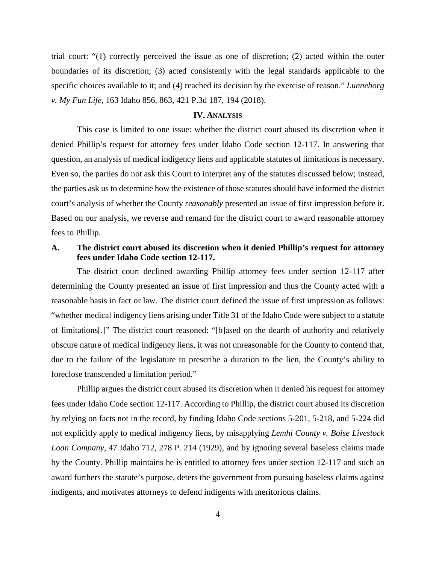trial court: "(1) correctly perceived the issue as one of discretion; (2) acted within the outer boundaries of its discretion; (3) acted consistently with the legal standards applicable to the specific choices available to it; and (4) reached its decision by the exercise of reason." *Lunneborg v. My Fun Life*, 163 Idaho 856, 863, 421 P.3d 187, 194 (2018).

#### **IV. ANALYSIS**

This case is limited to one issue: whether the district court abused its discretion when it denied Phillip's request for attorney fees under Idaho Code section 12-117. In answering that question, an analysis of medical indigency liens and applicable statutes of limitations is necessary. Even so, the parties do not ask this Court to interpret any of the statutes discussed below; instead, the parties ask us to determine how the existence of those statutes should have informed the district court's analysis of whether the County *reasonably* presented an issue of first impression before it. Based on our analysis, we reverse and remand for the district court to award reasonable attorney fees to Phillip.

# **A. The district court abused its discretion when it denied Phillip's request for attorney fees under Idaho Code section 12-117.**

The district court declined awarding Phillip attorney fees under section 12-117 after determining the County presented an issue of first impression and thus the County acted with a reasonable basis in fact or law. The district court defined the issue of first impression as follows: "whether medical indigency liens arising under Title 31 of the Idaho Code were subject to a statute of limitations[.]" The district court reasoned: "[b]ased on the dearth of authority and relatively obscure nature of medical indigency liens, it was not unreasonable for the County to contend that, due to the failure of the legislature to prescribe a duration to the lien, the County's ability to foreclose transcended a limitation period."

Phillip argues the district court abused its discretion when it denied his request for attorney fees under Idaho Code section 12-117. According to Phillip, the district court abused its discretion by relying on facts not in the record, by finding Idaho Code sections 5-201, 5-218, and 5-224 did not explicitly apply to medical indigency liens, by misapplying *Lemhi County v. Boise Livestock Loan Company*, 47 Idaho 712, 278 P. 214 (1929), and by ignoring several baseless claims made by the County. Phillip maintains he is entitled to attorney fees under section 12-117 and such an award furthers the statute's purpose, deters the government from pursuing baseless claims against indigents, and motivates attorneys to defend indigents with meritorious claims.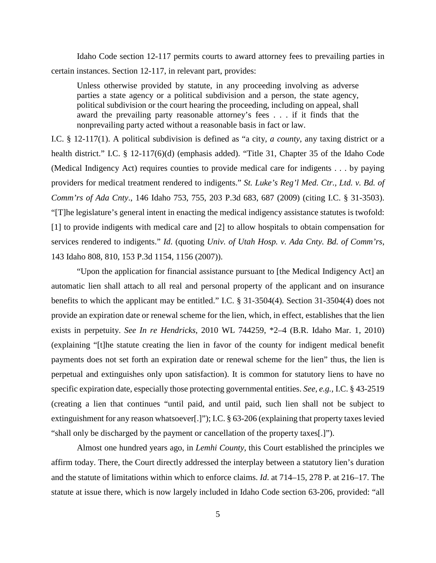Idaho Code section 12-117 permits courts to award attorney fees to prevailing parties in certain instances. Section 12-117, in relevant part, provides:

Unless otherwise provided by statute, in any proceeding involving as adverse parties a state agency or a political subdivision and a person, the state agency, political subdivision or the court hearing the proceeding, including on appeal, shall award the prevailing party reasonable attorney's fees . . . if it finds that the nonprevailing party acted without a reasonable basis in fact or law.

I.C. § 12-117(1). A political subdivision is defined as "a city, *a county*, any taxing district or a health district." I.C. § 12-117(6)(d) (emphasis added). "Title 31, Chapter 35 of the Idaho Code (Medical Indigency Act) requires counties to provide medical care for indigents . . . by paying providers for medical treatment rendered to indigents." *St. Luke's Reg'l Med. Ctr., Ltd. v. Bd. of Comm'rs of Ada Cnty*., 146 Idaho 753, 755, 203 P.3d 683, 687 (2009) (citing I.C. § 31-3503). "[T]he legislature's general intent in enacting the medical indigency assistance statutes is twofold: [1] to provide indigents with medical care and [2] to allow hospitals to obtain compensation for services rendered to indigents." *Id*. (quoting *Univ. of Utah Hosp. v. Ada Cnty. Bd. of Comm'rs*, 143 Idaho 808, 810, 153 P.3d 1154, 1156 (2007)).

"Upon the application for financial assistance pursuant to [the Medical Indigency Act] an automatic lien shall attach to all real and personal property of the applicant and on insurance benefits to which the applicant may be entitled." I.C. § 31-3504(4). Section 31-3504(4) does not provide an expiration date or renewal scheme for the lien, which, in effect, establishes that the lien exists in perpetuity. *See In re Hendricks*, 2010 WL 744259, \*2–4 (B.R. Idaho Mar. 1, 2010) (explaining "[t]he statute creating the lien in favor of the county for indigent medical benefit payments does not set forth an expiration date or renewal scheme for the lien" thus, the lien is perpetual and extinguishes only upon satisfaction). It is common for statutory liens to have no specific expiration date, especially those protecting governmental entities. *See, e.g.,* I.C. § 43-2519 (creating a lien that continues "until paid, and until paid, such lien shall not be subject to extinguishment for any reason whatsoever[.]"); I.C. § 63-206 (explaining that property taxes levied "shall only be discharged by the payment or cancellation of the property taxes[.]").

Almost one hundred years ago, in *Lemhi County*, this Court established the principles we affirm today. There, the Court directly addressed the interplay between a statutory lien's duration and the statute of limitations within which to enforce claims. *Id*. at 714–15, 278 P. at 216–17. The statute at issue there, which is now largely included in Idaho Code section 63-206, provided: "all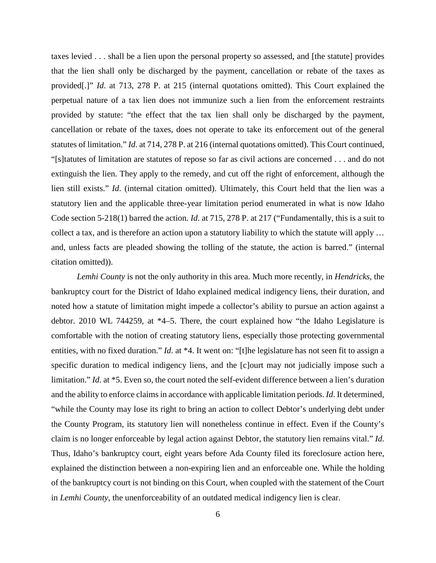taxes levied . . . shall be a lien upon the personal property so assessed, and [the statute] provides that the lien shall only be discharged by the payment, cancellation or rebate of the taxes as provided[.]" *Id*. at 713, 278 P. at 215 (internal quotations omitted). This Court explained the perpetual nature of a tax lien does not immunize such a lien from the enforcement restraints provided by statute: "the effect that the tax lien shall only be discharged by the payment, cancellation or rebate of the taxes, does not operate to take its enforcement out of the general statutes of limitation." *Id*. at 714, 278 P. at 216 (internal quotations omitted). This Court continued, "[s]tatutes of limitation are statutes of repose so far as civil actions are concerned . . . and do not extinguish the lien. They apply to the remedy, and cut off the right of enforcement, although the lien still exists." *Id*. (internal citation omitted). Ultimately, this Court held that the lien was a statutory lien and the applicable three-year limitation period enumerated in what is now Idaho Code section 5-218(1) barred the action. *Id*. at 715, 278 P. at 217 ("Fundamentally, this is a suit to collect a tax, and is therefore an action upon a statutory liability to which the statute will apply … and, unless facts are pleaded showing the tolling of the statute, the action is barred." (internal citation omitted)).

*Lemhi County* is not the only authority in this area. Much more recently, in *Hendricks*, the bankruptcy court for the District of Idaho explained medical indigency liens, their duration, and noted how a statute of limitation might impede a collector's ability to pursue an action against a debtor. 2010 WL 744259, at \*4–5. There, the court explained how "the Idaho Legislature is comfortable with the notion of creating statutory liens, especially those protecting governmental entities, with no fixed duration." *Id.* at \*4. It went on: "[t]he legislature has not seen fit to assign a specific duration to medical indigency liens, and the [c]ourt may not judicially impose such a limitation." *Id.* at \*5. Even so, the court noted the self-evident difference between a lien's duration and the ability to enforce claims in accordance with applicable limitation periods. *Id*. It determined, "while the County may lose its right to bring an action to collect Debtor's underlying debt under the County Program, its statutory lien will nonetheless continue in effect. Even if the County's claim is no longer enforceable by legal action against Debtor, the statutory lien remains vital." *Id.*  Thus, Idaho's bankruptcy court, eight years before Ada County filed its foreclosure action here, explained the distinction between a non-expiring lien and an enforceable one. While the holding of the bankruptcy court is not binding on this Court, when coupled with the statement of the Court in *Lemhi County*, the unenforceability of an outdated medical indigency lien is clear.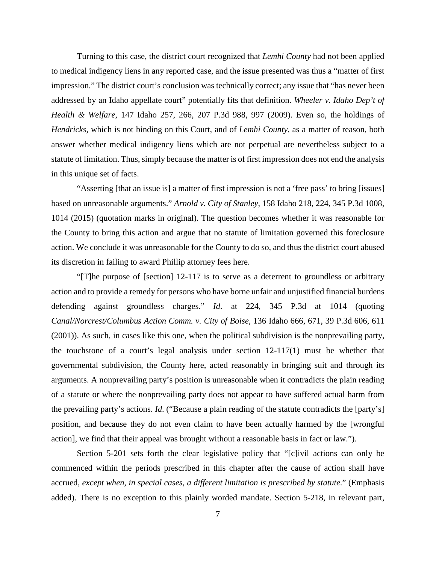Turning to this case, the district court recognized that *Lemhi County* had not been applied to medical indigency liens in any reported case, and the issue presented was thus a "matter of first impression." The district court's conclusion was technically correct; any issue that "has never been addressed by an Idaho appellate court" potentially fits that definition. *Wheeler v. Idaho Dep't of Health & Welfare*, 147 Idaho 257, 266, 207 P.3d 988, 997 (2009). Even so, the holdings of *Hendricks*, which is not binding on this Court, and of *Lemhi County*, as a matter of reason, both answer whether medical indigency liens which are not perpetual are nevertheless subject to a statute of limitation. Thus, simply because the matter is of first impression does not end the analysis in this unique set of facts.

"Asserting [that an issue is] a matter of first impression is not a 'free pass' to bring [issues] based on unreasonable arguments." *Arnold v. City of Stanley*, 158 Idaho 218, 224, 345 P.3d 1008, 1014 (2015) (quotation marks in original). The question becomes whether it was reasonable for the County to bring this action and argue that no statute of limitation governed this foreclosure action. We conclude it was unreasonable for the County to do so, and thus the district court abused its discretion in failing to award Phillip attorney fees here.

"[T]he purpose of [section] 12-117 is to serve as a deterrent to groundless or arbitrary action and to provide a remedy for persons who have borne unfair and unjustified financial burdens defending against groundless charges." *Id*. at 224, 345 P.3d at 1014 (quoting *Canal/Norcrest/Columbus Action Comm. v. City of Boise*, 136 Idaho 666, 671, 39 P.3d 606, 611 (2001)). As such, in cases like this one, when the political subdivision is the nonprevailing party, the touchstone of a court's legal analysis under section  $12{\text -}117(1)$  must be whether that governmental subdivision, the County here, acted reasonably in bringing suit and through its arguments. A nonprevailing party's position is unreasonable when it contradicts the plain reading of a statute or where the nonprevailing party does not appear to have suffered actual harm from the prevailing party's actions. *Id*. ("Because a plain reading of the statute contradicts the [party's] position, and because they do not even claim to have been actually harmed by the [wrongful action], we find that their appeal was brought without a reasonable basis in fact or law.").

Section 5-201 sets forth the clear legislative policy that "[c]ivil actions can only be commenced within the periods prescribed in this chapter after the cause of action shall have accrued, *except when, in special cases, a different limitation is prescribed by statute*." (Emphasis added). There is no exception to this plainly worded mandate. Section 5-218, in relevant part,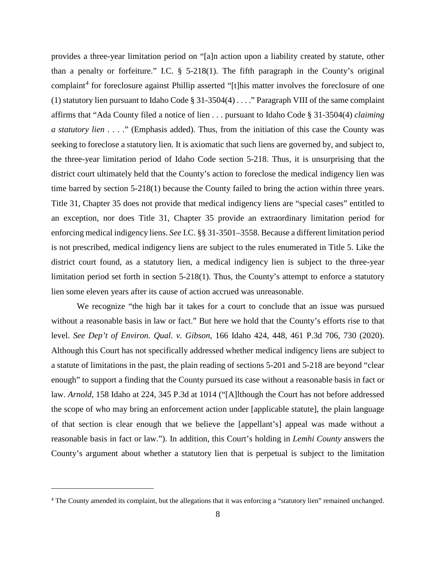provides a three-year limitation period on "[a]n action upon a liability created by statute, other than a penalty or forfeiture." I.C.  $\S$  5-218(1). The fifth paragraph in the County's original complaint<sup>[4](#page-7-0)</sup> for foreclosure against Phillip asserted "[t]his matter involves the foreclosure of one (1) statutory lien pursuant to Idaho Code § 31-3504(4) . . . ." Paragraph VIII of the same complaint affirms that "Ada County filed a notice of lien . . . pursuant to Idaho Code § 31-3504(4) *claiming a statutory lien* . . . ." (Emphasis added). Thus, from the initiation of this case the County was seeking to foreclose a statutory lien. It is axiomatic that such liens are governed by, and subject to, the three-year limitation period of Idaho Code section 5-218. Thus, it is unsurprising that the district court ultimately held that the County's action to foreclose the medical indigency lien was time barred by section 5-218(1) because the County failed to bring the action within three years. Title 31, Chapter 35 does not provide that medical indigency liens are "special cases" entitled to an exception, nor does Title 31, Chapter 35 provide an extraordinary limitation period for enforcing medical indigency liens. *See* I.C. §§ 31-3501–3558. Because a different limitation period is not prescribed, medical indigency liens are subject to the rules enumerated in Title 5. Like the district court found, as a statutory lien, a medical indigency lien is subject to the three-year limitation period set forth in section 5-218(1). Thus, the County's attempt to enforce a statutory lien some eleven years after its cause of action accrued was unreasonable.

We recognize "the high bar it takes for a court to conclude that an issue was pursued without a reasonable basis in law or fact." But here we hold that the County's efforts rise to that level. *See Dep't of Environ. Qual. v. Gibson*, 166 Idaho 424, 448, 461 P.3d 706, 730 (2020). Although this Court has not specifically addressed whether medical indigency liens are subject to a statute of limitations in the past, the plain reading of sections 5-201 and 5-218 are beyond "clear enough" to support a finding that the County pursued its case without a reasonable basis in fact or law. *Arnold*, 158 Idaho at 224, 345 P.3d at 1014 ("[A]lthough the Court has not before addressed the scope of who may bring an enforcement action under [applicable statute], the plain language of that section is clear enough that we believe the [appellant's] appeal was made without a reasonable basis in fact or law."). In addition, this Court's holding in *Lemhi County* answers the County's argument about whether a statutory lien that is perpetual is subject to the limitation

 $\overline{a}$ 

<span id="page-7-0"></span><sup>&</sup>lt;sup>4</sup> The County amended its complaint, but the allegations that it was enforcing a "statutory lien" remained unchanged.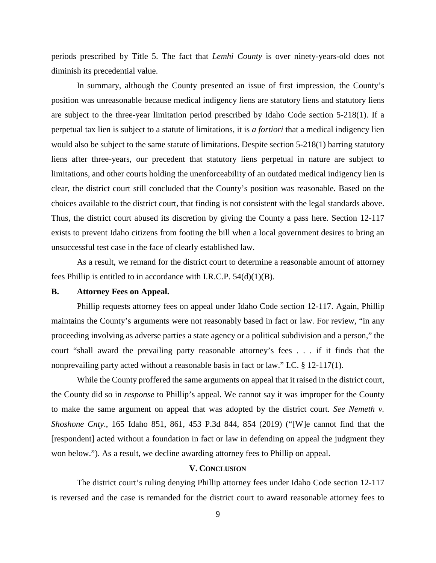periods prescribed by Title 5. The fact that *Lemhi County* is over ninety-years-old does not diminish its precedential value.

In summary, although the County presented an issue of first impression, the County's position was unreasonable because medical indigency liens are statutory liens and statutory liens are subject to the three-year limitation period prescribed by Idaho Code section 5-218(1). If a perpetual tax lien is subject to a statute of limitations, it is *a fortiori* that a medical indigency lien would also be subject to the same statute of limitations. Despite section 5-218(1) barring statutory liens after three-years, our precedent that statutory liens perpetual in nature are subject to limitations, and other courts holding the unenforceability of an outdated medical indigency lien is clear, the district court still concluded that the County's position was reasonable. Based on the choices available to the district court, that finding is not consistent with the legal standards above. Thus, the district court abused its discretion by giving the County a pass here. Section 12-117 exists to prevent Idaho citizens from footing the bill when a local government desires to bring an unsuccessful test case in the face of clearly established law.

As a result, we remand for the district court to determine a reasonable amount of attorney fees Phillip is entitled to in accordance with I.R.C.P. 54(d)(1)(B).

## **B. Attorney Fees on Appeal.**

Phillip requests attorney fees on appeal under Idaho Code section 12-117. Again, Phillip maintains the County's arguments were not reasonably based in fact or law. For review, "in any proceeding involving as adverse parties a state agency or a political subdivision and a person," the court "shall award the prevailing party reasonable attorney's fees . . . if it finds that the nonprevailing party acted without a reasonable basis in fact or law." I.C. § 12-117(1).

While the County proffered the same arguments on appeal that it raised in the district court, the County did so in *response* to Phillip's appeal. We cannot say it was improper for the County to make the same argument on appeal that was adopted by the district court. *See Nemeth v. Shoshone Cnty*., 165 Idaho 851, 861, 453 P.3d 844, 854 (2019) ("[W]e cannot find that the [respondent] acted without a foundation in fact or law in defending on appeal the judgment they won below."). As a result, we decline awarding attorney fees to Phillip on appeal.

## **V. CONCLUSION**

The district court's ruling denying Phillip attorney fees under Idaho Code section 12-117 is reversed and the case is remanded for the district court to award reasonable attorney fees to